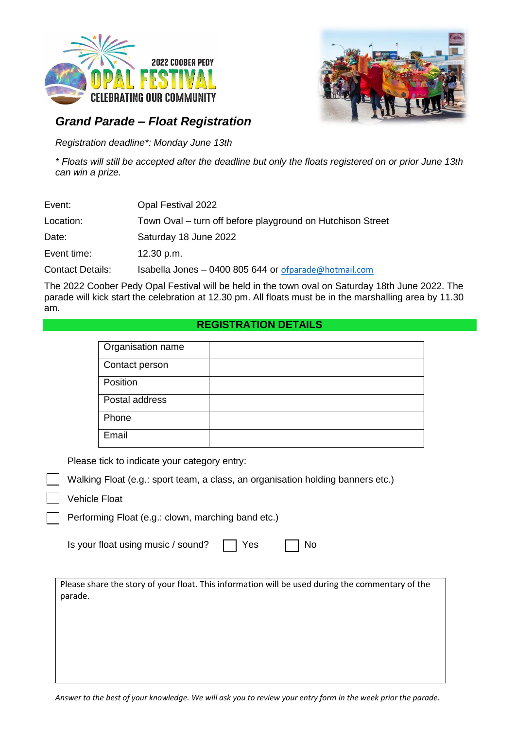



## *Grand Parade – Float Registration*

*Registration deadline\*: Monday June 13th*

*\* Floats will still be accepted after the deadline but only the floats registered on or prior June 13th can win a prize.*

| Event:                  | Opal Festival 2022                                         |
|-------------------------|------------------------------------------------------------|
| Location:               | Town Oval – turn off before playground on Hutchison Street |
| Date:                   | Saturday 18 June 2022                                      |
| Event time:             | 12.30 p.m.                                                 |
| <b>Contact Details:</b> | Isabella Jones - 0400 805 644 or ofparade@hotmail.com      |

The 2022 Coober Pedy Opal Festival will be held in the town oval on Saturday 18th June 2022. The parade will kick start the celebration at 12.30 pm. All floats must be in the marshalling area by 11.30 am.

## **REGISTRATION DETAILS**

| Organisation name |  |
|-------------------|--|
| Contact person    |  |
| Position          |  |
| Postal address    |  |
| Phone             |  |
|                   |  |
| Email             |  |

Please tick to indicate your category entry:

Walking Float (e.g.: sport team, a class, an organisation holding banners etc.)

Vehicle Float

Performing Float (e.g.: clown, marching band etc.)

| Is your float using music / sound? | ヿ Yes | $\Box$ No |
|------------------------------------|-------|-----------|
|------------------------------------|-------|-----------|

Please share the story of your float. This information will be used during the commentary of the parade.